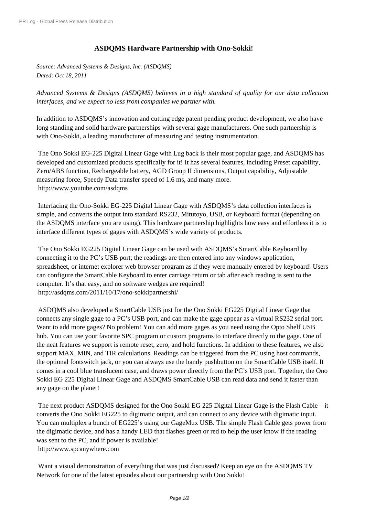## **[ASDQ](http://www.prlog.org/)MS Hardware Partnership with Ono-Sokki!**

*Source: Advanced Systems & Designs, Inc. (ASDQMS) Dated: Oct 18, 2011*

*Advanced Systems & Designs (ASDQMS) believes in a high standard of quality for our data collection interfaces, and we expect no less from companies we partner with.*

In addition to ASDQMS's innovation and cutting edge patent pending product development, we also have long standing and solid hardware partnerships with several gage manufacturers. One such partnership is with Ono-Sokki, a leading manufacturer of measuring and testing instrumentation.

 The Ono Sokki EG-225 Digital Linear Gage with Lug back is their most popular gage, and ASDQMS has developed and customized products specifically for it! It has several features, including Preset capability, Zero/ABS function, Rechargeable battery, AGD Group II dimensions, Output capability, Adjustable measuring force, Speedy Data transfer speed of 1.6 ms, and many more. http://www.youtube.com/asdqms

 Interfacing the Ono-Sokki EG-225 Digital Linear Gage with ASDQMS's data collection interfaces is [simple, and converts the output in](http://www.prlog.org/11698127.html)to standard RS232, Mitutoyo, USB, or Keyboard format (depending on the ASDQMS interface you are using). This hardware partnership highlights how easy and effortless it is to interface different types of gages with ASDQMS's wide variety of products.

 The Ono Sokki EG225 Digital Linear Gage can be used with ASDQMS's SmartCable Keyboard by connecting it to the PC's USB port; the readings are then entered into any windows application, spreadsheet, or internet explorer web browser program as if they were manually entered by keyboard! Users can configure the SmartCable Keyboard to enter carriage return or tab after each reading is sent to the computer. It's that easy, and no software wedges are required! http://asdqms.com/2011/10/17/ono-sokkipartnershi/

 ASDQMS also developed a SmartCable USB just for the Ono Sokki EG225 Digital Linear Gage that [connects any single gage to a PC's USB port, and can](http://www.prlog.org/11698127.html) make the gage appear as a virtual RS232 serial port. Want to add more gages? No problem! You can add more gages as you need using the Opto Shelf USB hub. You can use your favorite SPC program or custom programs to interface directly to the gage. One of the neat features we support is remote reset, zero, and hold functions. In addition to these features, we also support MAX, MIN, and TIR calculations. Readings can be triggered from the PC using host commands, the optional footswitch jack, or you can always use the handy pushbutton on the SmartCable USB itself. It comes in a cool blue translucent case, and draws power directly from the PC's USB port. Together, the Ono Sokki EG 225 Digital Linear Gage and ASDQMS SmartCable USB can read data and send it faster than any gage on the planet!

 The next product ASDQMS designed for the Ono Sokki EG 225 Digital Linear Gage is the Flash Cable – it converts the Ono Sokki EG225 to digimatic output, and can connect to any device with digimatic input. You can multiplex a bunch of EG225's using our GageMux USB. The simple Flash Cable gets power from the digimatic device, and has a handy LED that flashes green or red to help the user know if the reading was sent to the PC, and if power is available! http://www.spcanywhere.com

 Want a visual demonstration of everything that was just discussed? Keep an eye on the ASDQMS TV [Network for one of the latest ep](http://www.prlog.org/11698127.html)isodes about our partnership with Ono Sokki!